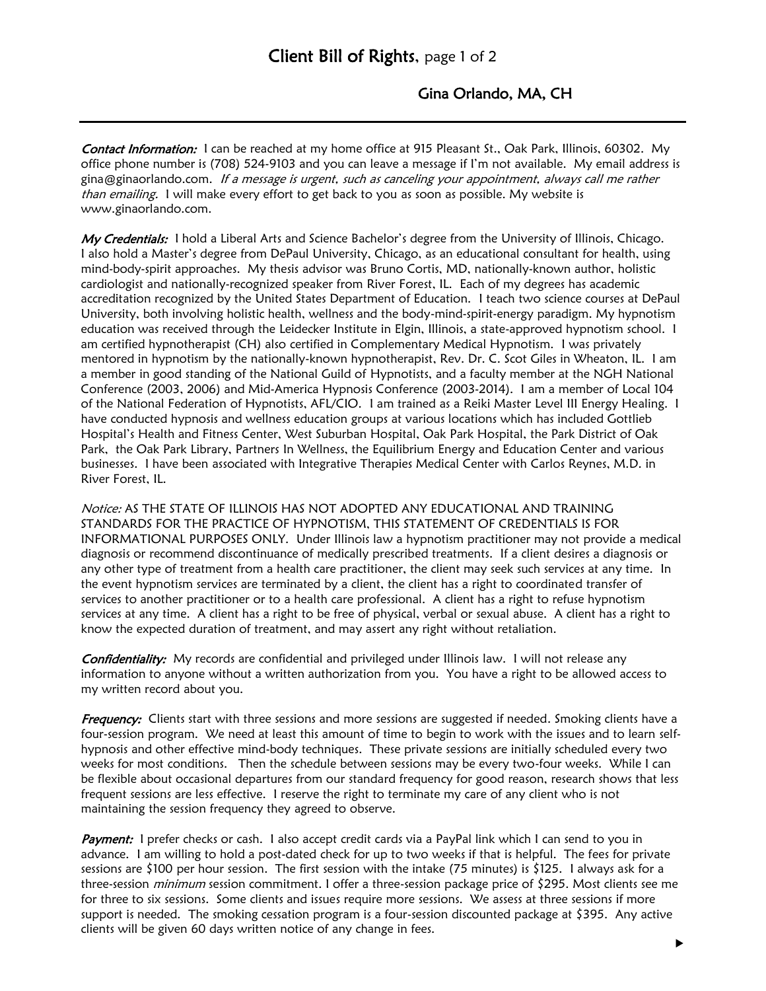## Gina Orlando, MA, CH

**Contact Information:** I can be reached at my home office at 915 Pleasant St., Oak Park, Illinois, 60302. My office phone number is (708) 524-9103 and you can leave a message if I'm not available. My email address is gina@ginaorlando.com. If a message is urgent, such as canceling your appointment, always call me rather than emailing. I will make every effort to get back to you as soon as possible. My website is www.ginaorlando.com.

My Credentials: I hold a Liberal Arts and Science Bachelor's degree from the University of Illinois, Chicago. I also hold a Master's degree from DePaul University, Chicago, as an educational consultant for health, using mind-body-spirit approaches. My thesis advisor was Bruno Cortis, MD, nationally-known author, holistic cardiologist and nationally-recognized speaker from River Forest, IL. Each of my degrees has academic accreditation recognized by the United States Department of Education. I teach two science courses at DePaul University, both involving holistic health, wellness and the body-mind-spirit-energy paradigm. My hypnotism education was received through the Leidecker Institute in Elgin, Illinois, a state-approved hypnotism school. I am certified hypnotherapist (CH) also certified in Complementary Medical Hypnotism. I was privately mentored in hypnotism by the nationally-known hypnotherapist, Rev. Dr. C. Scot Giles in Wheaton, IL. I am a member in good standing of the National Guild of Hypnotists, and a faculty member at the NGH National Conference (2003, 2006) and Mid-America Hypnosis Conference (2003-2014). I am a member of Local 104 of the National Federation of Hypnotists, AFL/CIO. I am trained as a Reiki Master Level III Energy Healing. I have conducted hypnosis and wellness education groups at various locations which has included Gottlieb Hospital's Health and Fitness Center, West Suburban Hospital, Oak Park Hospital, the Park District of Oak Park, the Oak Park Library, Partners In Wellness, the Equilibrium Energy and Education Center and various businesses. I have been associated with Integrative Therapies Medical Center with Carlos Reynes, M.D. in River Forest, IL.

Notice: AS THE STATE OF ILLINOIS HAS NOT ADOPTED ANY EDUCATIONAL AND TRAINING STANDARDS FOR THE PRACTICE OF HYPNOTISM, THIS STATEMENT OF CREDENTIALS IS FOR INFORMATIONAL PURPOSES ONLY. Under Illinois law a hypnotism practitioner may not provide a medical diagnosis or recommend discontinuance of medically prescribed treatments. If a client desires a diagnosis or any other type of treatment from a health care practitioner, the client may seek such services at any time. In the event hypnotism services are terminated by a client, the client has a right to coordinated transfer of services to another practitioner or to a health care professional. A client has a right to refuse hypnotism services at any time. A client has a right to be free of physical, verbal or sexual abuse. A client has a right to know the expected duration of treatment, and may assert any right without retaliation.

Confidentiality: My records are confidential and privileged under Illinois law. I will not release any information to anyone without a written authorization from you. You have a right to be allowed access to my written record about you.

**Frequency:** Clients start with three sessions and more sessions are suggested if needed. Smoking clients have a four-session program. We need at least this amount of time to begin to work with the issues and to learn selfhypnosis and other effective mind-body techniques. These private sessions are initially scheduled every two weeks for most conditions. Then the schedule between sessions may be every two-four weeks. While I can be flexible about occasional departures from our standard frequency for good reason, research shows that less frequent sessions are less effective. I reserve the right to terminate my care of any client who is not maintaining the session frequency they agreed to observe.

Payment: I prefer checks or cash. I also accept credit cards via a PayPal link which I can send to you in advance. I am willing to hold a post-dated check for up to two weeks if that is helpful. The fees for private sessions are \$100 per hour session. The first session with the intake (75 minutes) is \$125. I always ask for a three-session *minimum* session commitment. I offer a three-session package price of \$295. Most clients see me for three to six sessions. Some clients and issues require more sessions. We assess at three sessions if more support is needed. The smoking cessation program is a four-session discounted package at \$395. Any active clients will be given 60 days written notice of any change in fees.